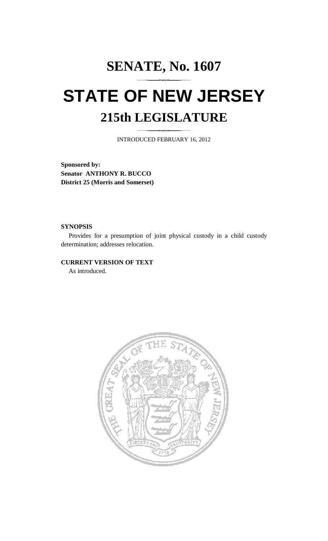# **SENATE, No. 1607 STATE OF NEW JERSEY 215th LEGISLATURE**

INTRODUCED FEBRUARY 16, 2012

**Sponsored by: Senator ANTHONY R. BUCCO District 25 (Morris and Somerset)** 

### **SYNOPSIS**

 Provides for a presumption of joint physical custody in a child custody determination; addresses relocation.

## **CURRENT VERSION OF TEXT**

As introduced.

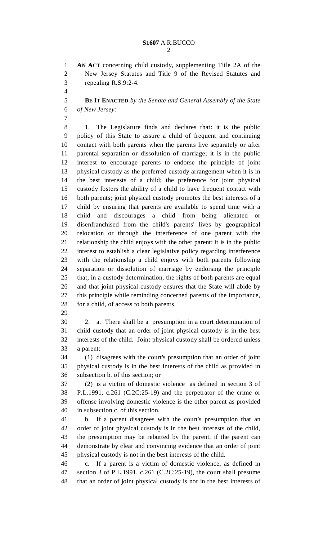1 **AN ACT** concerning child custody, supplementing Title 2A of the 2 New Jersey Statutes and Title 9 of the Revised Statutes and 3 repealing R.S.9:2-4.

4

5 **BE IT ENACTED** *by the Senate and General Assembly of the State*  6 *of New Jersey:* 

- 7 8 1. The Legislature finds and declares that: it is the public 9 policy of this State to assure a child of frequent and continuing 10 contact with both parents when the parents live separately or after 11 parental separation or dissolution of marriage; it is in the public 12 interest to encourage parents to endorse the principle of joint 13 physical custody as the preferred custody arrangement when it is in 14 the best interests of a child; the preference for joint physical 15 custody fosters the ability of a child to have frequent contact with 16 both parents; joint physical custody promotes the best interests of a 17 child by ensuring that parents are available to spend time with a 18 child and discourages a child from being alienated or 19 disenfranchised from the child's parents' lives by geographical 20 relocation or through the interference of one parent with the 21 relationship the child enjoys with the other parent; it is in the public 22 interest to establish a clear legislative policy regarding interference 23 with the relationship a child enjoys with both parents following 24 separation or dissolution of marriage by endorsing the principle 25 that, in a custody determination, the rights of both parents are equal 26 and that joint physical custody ensures that the State will abide by 27 this principle while reminding concerned parents of the importance, 28 for a child, of access to both parents.
- 29

30 2. a. There shall be a presumption in a court determination of 31 child custody that an order of joint physical custody is in the best 32 interests of the child. Joint physical custody shall be ordered unless 33 a parent:

34 (1) disagrees with the court's presumption that an order of joint 35 physical custody is in the best interests of the child as provided in 36 subsection b. of this section; or

37 (2) is a victim of domestic violence as defined in section 3 of 38 P.L.1991, c.261 (C.2C:25-19) and the perpetrator of the crime or 39 offense involving domestic violence is the other parent as provided 40 in subsection c. of this section.

41 b. If a parent disagrees with the court's presumption that an 42 order of joint physical custody is in the best interests of the child, 43 the presumption may be rebutted by the parent, if the parent can 44 demonstrate by clear and convincing evidence that an order of joint 45 physical custody is not in the best interests of the child.

46 c. If a parent is a victim of domestic violence, as defined in 47 section 3 of P.L.1991, c.261 (C.2C:25-19), the court shall presume 48 that an order of joint physical custody is not in the best interests of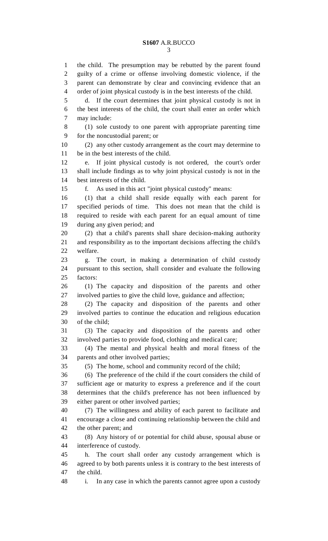# **S1607** A.R.BUCCO

1 the child. The presumption may be rebutted by the parent found 2 guilty of a crime or offense involving domestic violence, if the 3 parent can demonstrate by clear and convincing evidence that an 4 order of joint physical custody is in the best interests of the child. 5 d. If the court determines that joint physical custody is not in 6 the best interests of the child, the court shall enter an order which 7 may include: 8 (1) sole custody to one parent with appropriate parenting time 9 for the noncustodial parent; or 10 (2) any other custody arrangement as the court may determine to 11 be in the best interests of the child. 12 e. If joint physical custody is not ordered, the court's order 13 shall include findings as to why joint physical custody is not in the 14 best interests of the child. 15 f. As used in this act "joint physical custody" means: 16 (1) that a child shall reside equally with each parent for 17 specified periods of time. This does not mean that the child is 18 required to reside with each parent for an equal amount of time 19 during any given period; and 20 (2) that a child's parents shall share decision-making authority 21 and responsibility as to the important decisions affecting the child's 22 welfare. 23 g. The court, in making a determination of child custody 24 pursuant to this section, shall consider and evaluate the following 25 factors: 26 (1) The capacity and disposition of the parents and other 27 involved parties to give the child love, guidance and affection; 28 (2) The capacity and disposition of the parents and other 29 involved parties to continue the education and religious education 30 of the child; 31 (3) The capacity and disposition of the parents and other 32 involved parties to provide food, clothing and medical care; 33 (4) The mental and physical health and moral fitness of the 34 parents and other involved parties; 35 (5) The home, school and community record of the child; 36 (6) The preference of the child if the court considers the child of 37 sufficient age or maturity to express a preference and if the court 38 determines that the child's preference has not been influenced by 39 either parent or other involved parties; 40 (7) The willingness and ability of each parent to facilitate and 41 encourage a close and continuing relationship between the child and 42 the other parent; and 43 (8) Any history of or potential for child abuse, spousal abuse or 44 interference of custody. 45 h. The court shall order any custody arrangement which is 46 agreed to by both parents unless it is contrary to the best interests of 47 the child. 48 i. In any case in which the parents cannot agree upon a custody

3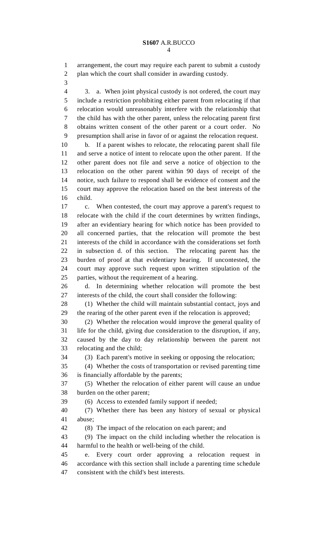1 arrangement, the court may require each parent to submit a custody 2 plan which the court shall consider in awarding custody.

3

4 3. a. When joint physical custody is not ordered, the court may 5 include a restriction prohibiting either parent from relocating if that 6 relocation would unreasonably interfere with the relationship that 7 the child has with the other parent, unless the relocating parent first 8 obtains written consent of the other parent or a court order. No 9 presumption shall arise in favor of or against the relocation request.

10 b. If a parent wishes to relocate, the relocating parent shall file 11 and serve a notice of intent to relocate upon the other parent. If the 12 other parent does not file and serve a notice of objection to the 13 relocation on the other parent within 90 days of receipt of the 14 notice, such failure to respond shall be evidence of consent and the 15 court may approve the relocation based on the best interests of the 16 child.

17 c. When contested, the court may approve a parent's request to 18 relocate with the child if the court determines by written findings, 19 after an evidentiary hearing for which notice has been provided to 20 all concerned parties, that the relocation will promote the best 21 interests of the child in accordance with the considerations set forth 22 in subsection d. of this section. The relocating parent has the 23 burden of proof at that evidentiary hearing. If uncontested, the 24 court may approve such request upon written stipulation of the 25 parties, without the requirement of a hearing.

26 d. In determining whether relocation will promote the best 27 interests of the child, the court shall consider the following:

28 (1) Whether the child will maintain substantial contact, joys and 29 the rearing of the other parent even if the relocation is approved;

30 (2) Whether the relocation would improve the general quality of 31 life for the child, giving due consideration to the disruption, if any, 32 caused by the day to day relationship between the parent not 33 relocating and the child;

34 (3) Each parent's motive in seeking or opposing the relocation;

35 (4) Whether the costs of transportation or revised parenting time 36 is financially affordable by the parents;

37 (5) Whether the relocation of either parent will cause an undue 38 burden on the other parent;

39 (6) Access to extended family support if needed;

40 (7) Whether there has been any history of sexual or physical 41 abuse;

42 (8) The impact of the relocation on each parent; and

43 (9) The impact on the child including whether the relocation is 44 harmful to the health or well-being of the child.

45 e. Every court order approving a relocation request in 46 accordance with this section shall include a parenting time schedule 47 consistent with the child's best interests.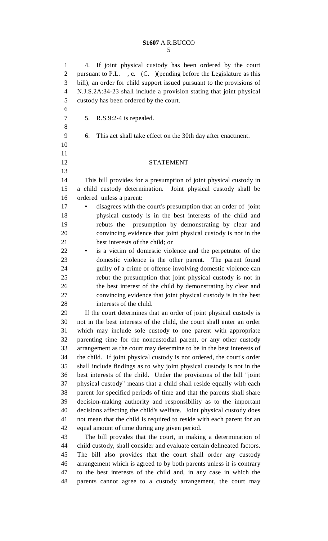### **S1607** A.R.BUCCO 5

1 4. If joint physical custody has been ordered by the court 2 pursuant to P.L., c. (C. )(pending before the Legislature as this 3 bill), an order for child support issued pursuant to the provisions of 4 N.J.S.2A:34-23 shall include a provision stating that joint physical 5 custody has been ordered by the court. 6 7 5. R.S.9:2-4 is repealed. 8 9 6. This act shall take effect on the 30th day after enactment. 10 11 12 STATEMENT 13 14 This bill provides for a presumption of joint physical custody in 15 a child custody determination. Joint physical custody shall be 16 ordered unless a parent: 17 **•** disagrees with the court's presumption that an order of joint 18 physical custody is in the best interests of the child and 19 rebuts the presumption by demonstrating by clear and 20 convincing evidence that joint physical custody is not in the 21 best interests of the child; or 22 • is a victim of domestic violence and the perpetrator of the 23 domestic violence is the other parent. The parent found 24 guilty of a crime or offense involving domestic violence can 25 rebut the presumption that joint physical custody is not in 26 the best interest of the child by demonstrating by clear and 27 convincing evidence that joint physical custody is in the best 28 interests of the child. 29 If the court determines that an order of joint physical custody is 30 not in the best interests of the child, the court shall enter an order 31 which may include sole custody to one parent with appropriate 32 parenting time for the noncustodial parent, or any other custody 33 arrangement as the court may determine to be in the best interests of 34 the child. If joint physical custody is not ordered, the court's order 35 shall include findings as to why joint physical custody is not in the 36 best interests of the child. Under the provisions of the bill "joint 37 physical custody" means that a child shall reside equally with each 38 parent for specified periods of time and that the parents shall share 39 decision-making authority and responsibility as to the important 40 decisions affecting the child's welfare. Joint physical custody does 41 not mean that the child is required to reside with each parent for an 42 equal amount of time during any given period. 43 The bill provides that the court, in making a determination of 44 child custody, shall consider and evaluate certain delineated factors. 45 The bill also provides that the court shall order any custody 46 arrangement which is agreed to by both parents unless it is contrary 47 to the best interests of the child and, in any case in which the 48 parents cannot agree to a custody arrangement, the court may